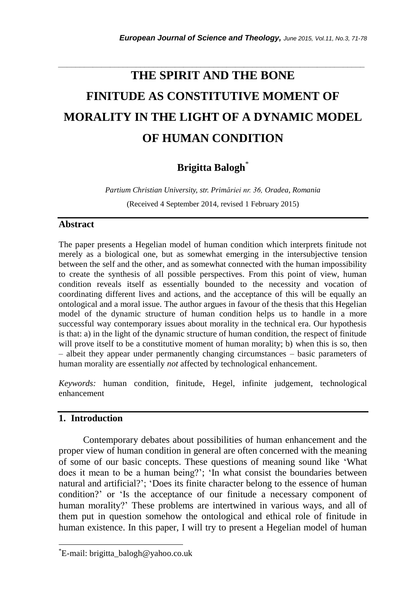# **THE SPIRIT AND THE BONE FINITUDE AS CONSTITUTIVE MOMENT OF MORALITY IN THE LIGHT OF A DYNAMIC MODEL OF HUMAN CONDITION**

*\_\_\_\_\_\_\_\_\_\_\_\_\_\_\_\_\_\_\_\_\_\_\_\_\_\_\_\_\_\_\_\_\_\_\_\_\_\_\_\_\_\_\_\_\_\_\_\_\_\_\_\_\_\_\_\_\_\_\_\_\_\_\_\_\_\_\_\_\_\_\_*

# **Brigitta Balogh**\*

*Partium Christian University, str. Primăriei nr. 36, Oradea, Romania* (Received 4 September 2014, revised 1 February 2015)

#### **Abstract**

The paper presents a Hegelian model of human condition which interprets finitude not merely as a biological one, but as somewhat emerging in the intersubjective tension between the self and the other, and as somewhat connected with the human impossibility to create the synthesis of all possible perspectives. From this point of view, human condition reveals itself as essentially bounded to the necessity and vocation of coordinating different lives and actions, and the acceptance of this will be equally an ontological and a moral issue. The author argues in favour of the thesis that this Hegelian model of the dynamic structure of human condition helps us to handle in a more successful way contemporary issues about morality in the technical era. Our hypothesis is that: a) in the light of the dynamic structure of human condition, the respect of finitude will prove itself to be a constitutive moment of human morality; b) when this is so, then – albeit they appear under permanently changing circumstances – basic parameters of human morality are essentially *not* affected by technological enhancement.

*Keywords:* human condition, finitude, Hegel, infinite judgement, technological enhancement

### **1. Introduction**

l

Contemporary debates about possibilities of human enhancement and the proper view of human condition in general are often concerned with the meaning of some of our basic concepts. These questions of meaning sound like "What does it mean to be a human being?"; "In what consist the boundaries between natural and artificial?"; "Does its finite character belong to the essence of human condition?" or "Is the acceptance of our finitude a necessary component of human morality?" These problems are intertwined in various ways, and all of them put in question somehow the ontological and ethical role of finitude in human existence. In this paper, I will try to present a Hegelian model of human

<sup>\*</sup>E-mail: brigitta\_balogh@yahoo.co.uk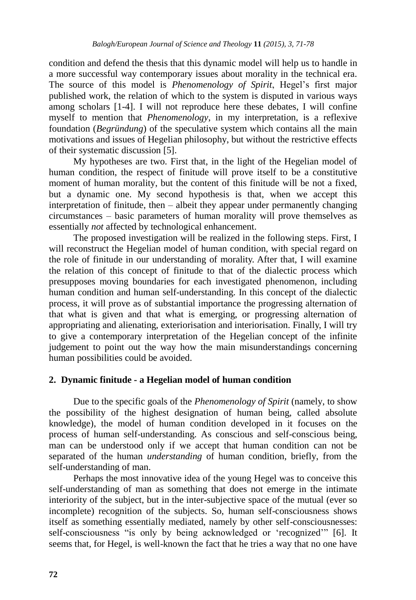condition and defend the thesis that this dynamic model will help us to handle in a more successful way contemporary issues about morality in the technical era. The source of this model is *Phenomenology of Spirit*, Hegel"s first major published work, the relation of which to the system is disputed in various ways among scholars [1-4]. I will not reproduce here these debates, I will confine myself to mention that *Phenomenology*, in my interpretation, is a reflexive foundation (*Begründung*) of the speculative system which contains all the main motivations and issues of Hegelian philosophy, but without the restrictive effects of their systematic discussion [5].

My hypotheses are two. First that, in the light of the Hegelian model of human condition, the respect of finitude will prove itself to be a constitutive moment of human morality, but the content of this finitude will be not a fixed, but a dynamic one. My second hypothesis is that, when we accept this interpretation of finitude, then – albeit they appear under permanently changing circumstances – basic parameters of human morality will prove themselves as essentially *not* affected by technological enhancement.

The proposed investigation will be realized in the following steps. First, I will reconstruct the Hegelian model of human condition, with special regard on the role of finitude in our understanding of morality. After that, I will examine the relation of this concept of finitude to that of the dialectic process which presupposes moving boundaries for each investigated phenomenon, including human condition and human self-understanding. In this concept of the dialectic process, it will prove as of substantial importance the progressing alternation of that what is given and that what is emerging, or progressing alternation of appropriating and alienating, exteriorisation and interiorisation. Finally, I will try to give a contemporary interpretation of the Hegelian concept of the infinite judgement to point out the way how the main misunderstandings concerning human possibilities could be avoided.

#### **2. Dynamic finitude - a Hegelian model of human condition**

Due to the specific goals of the *Phenomenology of Spirit* (namely, to show the possibility of the highest designation of human being, called absolute knowledge), the model of human condition developed in it focuses on the process of human self-understanding. As conscious and self-conscious being, man can be understood only if we accept that human condition can not be separated of the human *understanding* of human condition, briefly, from the self-understanding of man.

Perhaps the most innovative idea of the young Hegel was to conceive this self-understanding of man as something that does not emerge in the intimate interiority of the subject, but in the inter-subjective space of the mutual (ever so incomplete) recognition of the subjects. So, human self-consciousness shows itself as something essentially mediated, namely by other self-consciousnesses: self-consciousness "is only by being acknowledged or 'recognized'" [6]. It seems that, for Hegel, is well-known the fact that he tries a way that no one have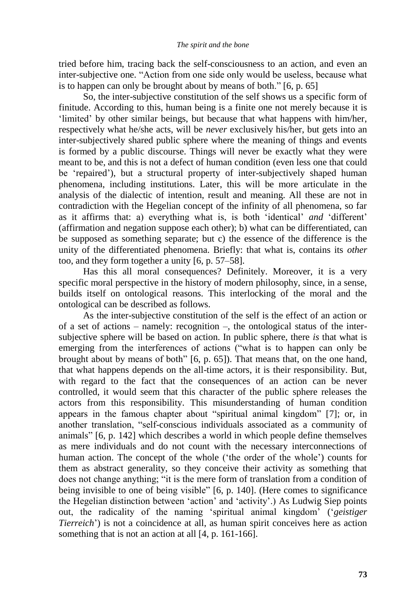tried before him, tracing back the self-consciousness to an action, and even an inter-subjective one. "Action from one side only would be useless, because what is to happen can only be brought about by means of both." [6, p. 65]

So, the inter-subjective constitution of the self shows us a specific form of finitude. According to this, human being is a finite one not merely because it is "limited" by other similar beings, but because that what happens with him/her, respectively what he/she acts, will be *never* exclusively his/her, but gets into an inter-subjectively shared public sphere where the meaning of things and events is formed by a public discourse. Things will never be exactly what they were meant to be, and this is not a defect of human condition (even less one that could be "repaired"), but a structural property of inter-subjectively shaped human phenomena, including institutions. Later, this will be more articulate in the analysis of the dialectic of intention, result and meaning. All these are not in contradiction with the Hegelian concept of the infinity of all phenomena, so far as it affirms that: a) everything what is, is both "identical" *and* "different" (affirmation and negation suppose each other); b) what can be differentiated, can be supposed as something separate; but c) the essence of the difference is the unity of the differentiated phenomena. Briefly: that what is, contains its *other* too, and they form together a unity [6, p. 57–58].

Has this all moral consequences? Definitely. Moreover, it is a very specific moral perspective in the history of modern philosophy, since, in a sense, builds itself on ontological reasons. This interlocking of the moral and the ontological can be described as follows.

As the inter-subjective constitution of the self is the effect of an action or of a set of actions – namely: recognition –, the ontological status of the intersubjective sphere will be based on action. In public sphere, there *is* that what is emerging from the interferences of actions ("what is to happen can only be brought about by means of both" [6, p. 65]). That means that, on the one hand, that what happens depends on the all-time actors, it is their responsibility. But, with regard to the fact that the consequences of an action can be never controlled, it would seem that this character of the public sphere releases the actors from this responsibility. This misunderstanding of human condition appears in the famous chapter about "spiritual animal kingdom" [7]; or, in another translation, "self-conscious individuals associated as a community of animals" [6, p. 142] which describes a world in which people define themselves as mere individuals and do not count with the necessary interconnections of human action. The concept of the whole ('the order of the whole') counts for them as abstract generality, so they conceive their activity as something that does not change anything; "it is the mere form of translation from a condition of being invisible to one of being visible" [6, p. 140]. (Here comes to significance the Hegelian distinction between "action" and "activity".) As Ludwig Siep points out, the radicality of the naming "spiritual animal kingdom" ("*geistiger Tierreich*') is not a coincidence at all, as human spirit conceives here as action something that is not an action at all [4, p. 161-166].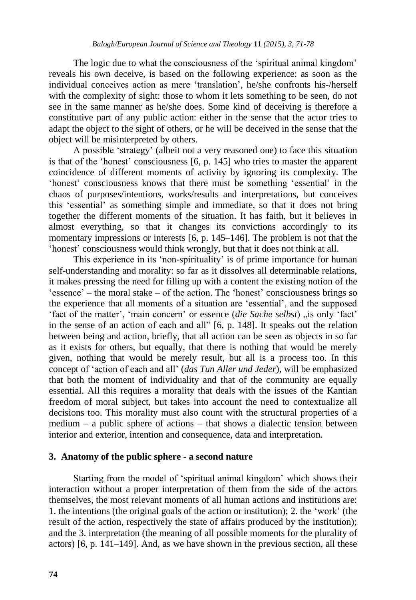The logic due to what the consciousness of the 'spiritual animal kingdom' reveals his own deceive, is based on the following experience: as soon as the individual conceives action as mere "translation", he/she confronts his-/herself with the complexity of sight: those to whom it lets something to be seen, do not see in the same manner as he/she does. Some kind of deceiving is therefore a constitutive part of any public action: either in the sense that the actor tries to adapt the object to the sight of others, or he will be deceived in the sense that the object will be misinterpreted by others.

A possible "strategy" (albeit not a very reasoned one) to face this situation is that of the 'honest' consciousness  $[6, p. 145]$  who tries to master the apparent coincidence of different moments of activity by ignoring its complexity. The "honest" consciousness knows that there must be something "essential" in the chaos of purposes/intentions, works/results and interpretations, but conceives this "essential" as something simple and immediate, so that it does not bring together the different moments of the situation. It has faith, but it believes in almost everything, so that it changes its convictions accordingly to its momentary impressions or interests [6, p. 145–146]. The problem is not that the "honest" consciousness would think wrongly, but that it does not think at all.

This experience in its 'non-spirituality' is of prime importance for human self-understanding and morality: so far as it dissolves all determinable relations, it makes pressing the need for filling up with a content the existing notion of the  $i$  essence' – the moral stake – of the action. The 'honest' consciousness brings so the experience that all moments of a situation are "essential", and the supposed 'fact of the matter', 'main concern' or essence (*die Sache selbst*) "is only 'fact' in the sense of an action of each and all" [6, p. 148]. It speaks out the relation between being and action, briefly, that all action can be seen as objects in so far as it exists for others, but equally, that there is nothing that would be merely given, nothing that would be merely result, but all is a process too. In this concept of "action of each and all" (*das Tun Aller und Jeder*), will be emphasized that both the moment of individuality and that of the community are equally essential. All this requires a morality that deals with the issues of the Kantian freedom of moral subject, but takes into account the need to contextualize all decisions too. This morality must also count with the structural properties of a medium – a public sphere of actions – that shows a dialectic tension between interior and exterior, intention and consequence, data and interpretation.

#### **3. Anatomy of the public sphere - a second nature**

Starting from the model of 'spiritual animal kingdom' which shows their interaction without a proper interpretation of them from the side of the actors themselves, the most relevant moments of all human actions and institutions are: 1. the intentions (the original goals of the action or institution); 2. the "work" (the result of the action, respectively the state of affairs produced by the institution); and the 3. interpretation (the meaning of all possible moments for the plurality of actors) [6, p. 141–149]. And, as we have shown in the previous section, all these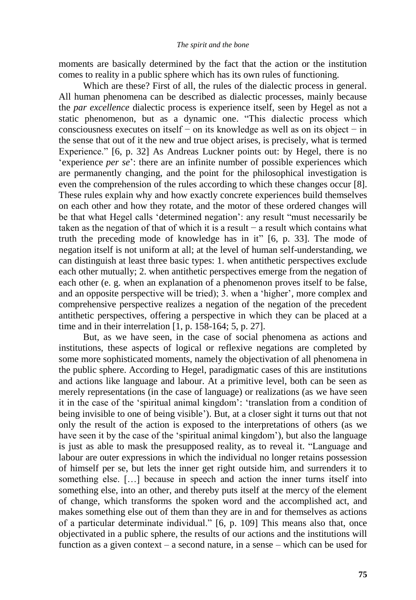moments are basically determined by the fact that the action or the institution comes to reality in a public sphere which has its own rules of functioning.

Which are these? First of all, the rules of the dialectic process in general. All human phenomena can be described as dialectic processes, mainly because the *par excellence* dialectic process is experience itself, seen by Hegel as not a static phenomenon, but as a dynamic one. "This dialectic process which consciousness executes on itself − on its knowledge as well as on its object − in the sense that out of it the new and true object arises, is precisely, what is termed Experience." [6, p. 32] As Andreas Luckner points out: by Hegel, there is no 'experience *per se*': there are an infinite number of possible experiences which are permanently changing, and the point for the philosophical investigation is even the comprehension of the rules according to which these changes occur [8]. These rules explain why and how exactly concrete experiences build themselves on each other and how they rotate, and the motor of these ordered changes will be that what Hegel calls "determined negation": any result "must necessarily be taken as the negation of that of which it is a result − a result which contains what truth the preceding mode of knowledge has in it" [6, p. 33]. The mode of negation itself is not uniform at all; at the level of human self-understanding, we can distinguish at least three basic types: 1. when antithetic perspectives exclude each other mutually; 2. when antithetic perspectives emerge from the negation of each other (e. g. when an explanation of a phenomenon proves itself to be false, and an opposite perspective will be tried); 3. when a "higher", more complex and comprehensive perspective realizes a negation of the negation of the precedent antithetic perspectives, offering a perspective in which they can be placed at a time and in their interrelation [1, p. 158-164; 5, p. 27].

But, as we have seen, in the case of social phenomena as actions and institutions, these aspects of logical or reflexive negations are completed by some more sophisticated moments, namely the objectivation of all phenomena in the public sphere. According to Hegel, paradigmatic cases of this are institutions and actions like language and labour. At a primitive level, both can be seen as merely representations (in the case of language) or realizations (as we have seen it in the case of the "spiritual animal kingdom": "translation from a condition of being invisible to one of being visible"). But, at a closer sight it turns out that not only the result of the action is exposed to the interpretations of others (as we have seen it by the case of the 'spiritual animal kingdom'), but also the language is just as able to mask the presupposed reality, as to reveal it. "Language and labour are outer expressions in which the individual no longer retains possession of himself per se, but lets the inner get right outside him, and surrenders it to something else. […] because in speech and action the inner turns itself into something else, into an other, and thereby puts itself at the mercy of the element of change, which transforms the spoken word and the accomplished act, and makes something else out of them than they are in and for themselves as actions of a particular determinate individual." [6, p. 109] This means also that, once objectivated in a public sphere, the results of our actions and the institutions will function as a given context – a second nature, in a sense – which can be used for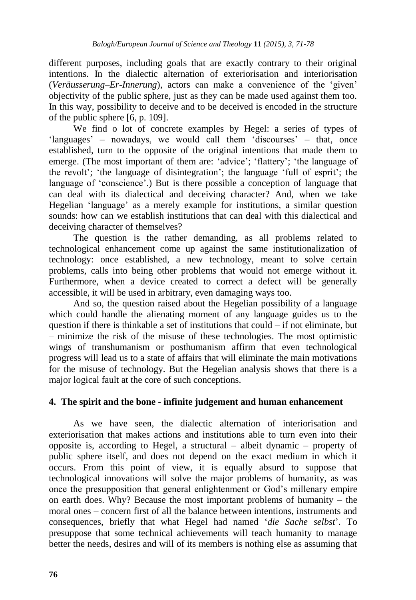different purposes, including goals that are exactly contrary to their original intentions. In the dialectic alternation of exteriorisation and interiorisation (*Veräusserung*–*Er-Innerung*), actors can make a convenience of the "given" objectivity of the public sphere, just as they can be made used against them too. In this way, possibility to deceive and to be deceived is encoded in the structure of the public sphere [6, p. 109].

We find o lot of concrete examples by Hegel: a series of types of 'languages' – nowadays, we would call them 'discourses' – that, once established, turn to the opposite of the original intentions that made them to emerge. (The most important of them are: 'advice'; 'flattery'; 'the language of the revolt"; "the language of disintegration"; the language "full of esprit"; the language of "conscience".) But is there possible a conception of language that can deal with its dialectical and deceiving character? And, when we take Hegelian "language" as a merely example for institutions, a similar question sounds: how can we establish institutions that can deal with this dialectical and deceiving character of themselves?

The question is the rather demanding, as all problems related to technological enhancement come up against the same institutionalization of technology: once established, a new technology, meant to solve certain problems, calls into being other problems that would not emerge without it. Furthermore, when a device created to correct a defect will be generally accessible, it will be used in arbitrary, even damaging ways too.

And so, the question raised about the Hegelian possibility of a language which could handle the alienating moment of any language guides us to the question if there is thinkable a set of institutions that could – if not eliminate, but – minimize the risk of the misuse of these technologies. The most optimistic wings of transhumanism or posthumanism affirm that even technological progress will lead us to a state of affairs that will eliminate the main motivations for the misuse of technology. But the Hegelian analysis shows that there is a major logical fault at the core of such conceptions.

## **4. The spirit and the bone - infinite judgement and human enhancement**

As we have seen, the dialectic alternation of interiorisation and exteriorisation that makes actions and institutions able to turn even into their opposite is, according to Hegel, a structural – albeit dynamic – property of public sphere itself, and does not depend on the exact medium in which it occurs. From this point of view, it is equally absurd to suppose that technological innovations will solve the major problems of humanity, as was once the presupposition that general enlightenment or God"s millenary empire on earth does. Why? Because the most important problems of humanity – the moral ones – concern first of all the balance between intentions, instruments and consequences, briefly that what Hegel had named "*die Sache selbst*". To presuppose that some technical achievements will teach humanity to manage better the needs, desires and will of its members is nothing else as assuming that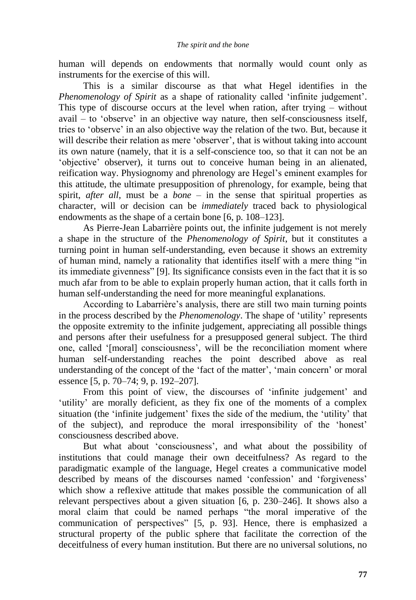human will depends on endowments that normally would count only as instruments for the exercise of this will.

This is a similar discourse as that what Hegel identifies in the *Phenomenology of Spirit* as a shape of rationality called 'infinite judgement'. This type of discourse occurs at the level when ration, after trying – without  $a$ vail – to 'observe' in an objective way nature, then self-consciousness itself, tries to "observe" in an also objective way the relation of the two. But, because it will describe their relation as mere 'observer', that is without taking into account its own nature (namely, that it is a self-conscience too, so that it can not be an "objective" observer), it turns out to conceive human being in an alienated, reification way. Physiognomy and phrenology are Hegel"s eminent examples for this attitude, the ultimate presupposition of phrenology, for example, being that spirit, *after all*, must be a *bone* – in the sense that spiritual properties as character, will or decision can be *immediately* traced back to physiological endowments as the shape of a certain bone [6, p. 108–123].

As Pierre-Jean Labarrière points out, the infinite judgement is not merely a shape in the structure of the *Phenomenology of Spirit*, but it constitutes a turning point in human self-understanding, even because it shows an extremity of human mind, namely a rationality that identifies itself with a mere thing "in its immediate givenness" [9]. Its significance consists even in the fact that it is so much afar from to be able to explain properly human action, that it calls forth in human self-understanding the need for more meaningful explanations.

According to Labarrière's analysis, there are still two main turning points in the process described by the *Phenomenology*. The shape of "utility" represents the opposite extremity to the infinite judgement, appreciating all possible things and persons after their usefulness for a presupposed general subject. The third one, called "[moral] consciousness", will be the reconciliation moment where human self-understanding reaches the point described above as real understanding of the concept of the 'fact of the matter', 'main concern' or moral essence [5, p. 70–74; 9, p. 192–207].

From this point of view, the discourses of 'infinite judgement' and "utility" are morally deficient, as they fix one of the moments of a complex situation (the 'infinite judgement' fixes the side of the medium, the 'utility' that of the subject), and reproduce the moral irresponsibility of the "honest" consciousness described above.

But what about 'consciousness', and what about the possibility of institutions that could manage their own deceitfulness? As regard to the paradigmatic example of the language, Hegel creates a communicative model described by means of the discourses named 'confession' and 'forgiveness' which show a reflexive attitude that makes possible the communication of all relevant perspectives about a given situation [6, p. 230–246]. It shows also a moral claim that could be named perhaps "the moral imperative of the communication of perspectives" [5, p. 93]. Hence, there is emphasized a structural property of the public sphere that facilitate the correction of the deceitfulness of every human institution. But there are no universal solutions, no